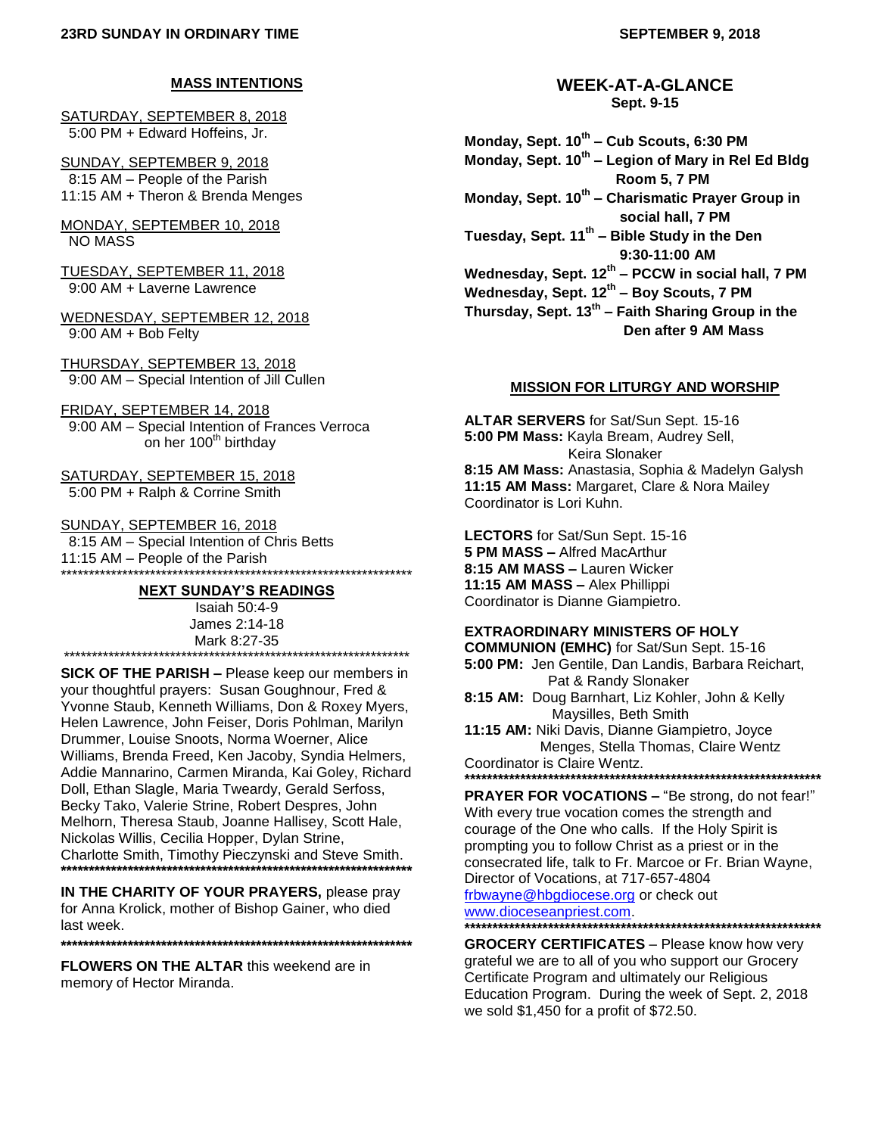## **MASS INTENTIONS**

SATURDAY, SEPTEMBER 8, 2018 5:00 PM + Edward Hoffeins, Jr.

SUNDAY, SEPTEMBER 9, 2018 8:15 AM – People of the Parish 11:15 AM + Theron & Brenda Menges

MONDAY, SEPTEMBER 10, 2018 NO MASS

TUESDAY, SEPTEMBER 11, 2018 9:00 AM + Laverne Lawrence

WEDNESDAY, SEPTEMBER 12, 2018 9:00 AM + Bob Felty

THURSDAY, SEPTEMBER 13, 2018 9:00 AM – Special Intention of Jill Cullen

FRIDAY, SEPTEMBER 14, 2018 9:00 AM – Special Intention of Frances Verroca on her 100<sup>th</sup> birthday

SATURDAY, SEPTEMBER 15, 2018 5:00 PM + Ralph & Corrine Smith

SUNDAY, SEPTEMBER 16, 2018 8:15 AM – Special Intention of Chris Betts 11:15 AM – People of the Parish \*\*\*\*\*\*\*\*\*\*\*\*\*\*\*\*\*\*\*\*\*\*\*\*\*\*\*\*\*\*\*\*\*\*\*\*\*\*\*\*\*\*\*\*\*\*\*\*\*\*\*\*\*\*\*\*\*\*\*\*\*\*\*

#### **NEXT SUNDAY'S READINGS**

Isaiah 50:4-9 James 2:14-18 Mark 8:27-35 \*\*\*\*\*\*\*\*\*\*\*\*\*\*\*\*\*\*\*\*\*\*\*\*\*\*\*\*\*\*\*\*\*\*\*\*\*\*\*\*\*\*\*\*\*\*\*\*\*\*\*\*\*\*\*\*\*\*\*\*\*\*

**SICK OF THE PARISH –** Please keep our members in your thoughtful prayers: Susan Goughnour, Fred & Yvonne Staub, Kenneth Williams, Don & Roxey Myers, Helen Lawrence, John Feiser, Doris Pohlman, Marilyn Drummer, Louise Snoots, Norma Woerner, Alice Williams, Brenda Freed, Ken Jacoby, Syndia Helmers, Addie Mannarino, Carmen Miranda, Kai Goley, Richard Doll, Ethan Slagle, Maria Tweardy, Gerald Serfoss, Becky Tako, Valerie Strine, Robert Despres, John Melhorn, Theresa Staub, Joanne Hallisey, Scott Hale, Nickolas Willis, Cecilia Hopper, Dylan Strine, Charlotte Smith, Timothy Pieczynski and Steve Smith. **\*\*\*\*\*\*\*\*\*\*\*\*\*\*\*\*\*\*\*\*\*\*\*\*\*\*\*\*\*\*\*\*\*\*\*\*\*\*\*\*\*\*\*\*\*\*\*\*\*\*\*\*\*\*\*\*\*\*\*\*\*\*\***

**IN THE CHARITY OF YOUR PRAYERS,** please pray for Anna Krolick, mother of Bishop Gainer, who died last week.

**\*\*\*\*\*\*\*\*\*\*\*\*\*\*\*\*\*\*\*\*\*\*\*\*\*\*\*\*\*\*\*\*\*\*\*\*\*\*\*\*\*\*\*\*\*\*\*\*\*\*\*\*\*\*\*\*\*\*\*\*\*\*\***

**FLOWERS ON THE ALTAR** this weekend are in memory of Hector Miranda.

## **WEEK-AT-A-GLANCE Sept. 9-15**

**Monday, Sept. 10th – Cub Scouts, 6:30 PM Monday, Sept. 10th – Legion of Mary in Rel Ed Bldg Room 5, 7 PM Monday, Sept. 10th – Charismatic Prayer Group in social hall, 7 PM Tuesday, Sept. 11th – Bible Study in the Den 9:30-11:00 AM Wednesday, Sept. 12th – PCCW in social hall, 7 PM Wednesday, Sept. 12th – Boy Scouts, 7 PM Thursday, Sept. 13th – Faith Sharing Group in the Den after 9 AM Mass**

#### **MISSION FOR LITURGY AND WORSHIP**

**ALTAR SERVERS** for Sat/Sun Sept. 15-16 **5:00 PM Mass:** Kayla Bream, Audrey Sell, Keira Slonaker **8:15 AM Mass:** Anastasia, Sophia & Madelyn Galysh **11:15 AM Mass:** Margaret, Clare & Nora Mailey Coordinator is Lori Kuhn.

**LECTORS** for Sat/Sun Sept. 15-16 **5 PM MASS –** Alfred MacArthur **8:15 AM MASS –** Lauren Wicker **11:15 AM MASS –** Alex Phillippi Coordinator is Dianne Giampietro.

#### **EXTRAORDINARY MINISTERS OF HOLY**

**COMMUNION (EMHC)** for Sat/Sun Sept. 15-16 **5:00 PM:** Jen Gentile, Dan Landis, Barbara Reichart, Pat & Randy Slonaker

**8:15 AM:** Doug Barnhart, Liz Kohler, John & Kelly Maysilles, Beth Smith

**11:15 AM:** Niki Davis, Dianne Giampietro, Joyce Menges, Stella Thomas, Claire Wentz Coordinator is Claire Wentz. **\*\*\*\*\*\*\*\*\*\*\*\*\*\*\*\*\*\*\*\*\*\*\*\*\*\*\*\*\*\*\*\*\*\*\*\*\*\*\*\*\*\*\*\*\*\*\*\*\*\*\*\*\*\*\*\*\*\*\*\*\*\*\*\***

**PRAYER FOR VOCATIONS –** "Be strong, do not fear!" With every true vocation comes the strength and courage of the One who calls. If the Holy Spirit is prompting you to follow Christ as a priest or in the consecrated life, talk to Fr. Marcoe or Fr. Brian Wayne, Director of Vocations, at 717-657-4804 [frbwayne@hbgdiocese.org](mailto:frbwayne@hbgdiocese.org) or check out [www.dioceseanpriest.com.](http://www.dioceseanpriest.com/) **\*\*\*\*\*\*\*\*\*\*\*\*\*\*\*\*\*\*\*\*\*\*\*\*\*\*\*\*\*\*\*\*\*\*\*\*\*\*\*\*\*\*\*\*\*\*\*\*\*\*\*\*\*\*\*\*\*\*\*\*\*\*\*\***

**GROCERY CERTIFICATES** – Please know how very grateful we are to all of you who support our Grocery Certificate Program and ultimately our Religious Education Program. During the week of Sept. 2, 2018 we sold \$1,450 for a profit of \$72.50.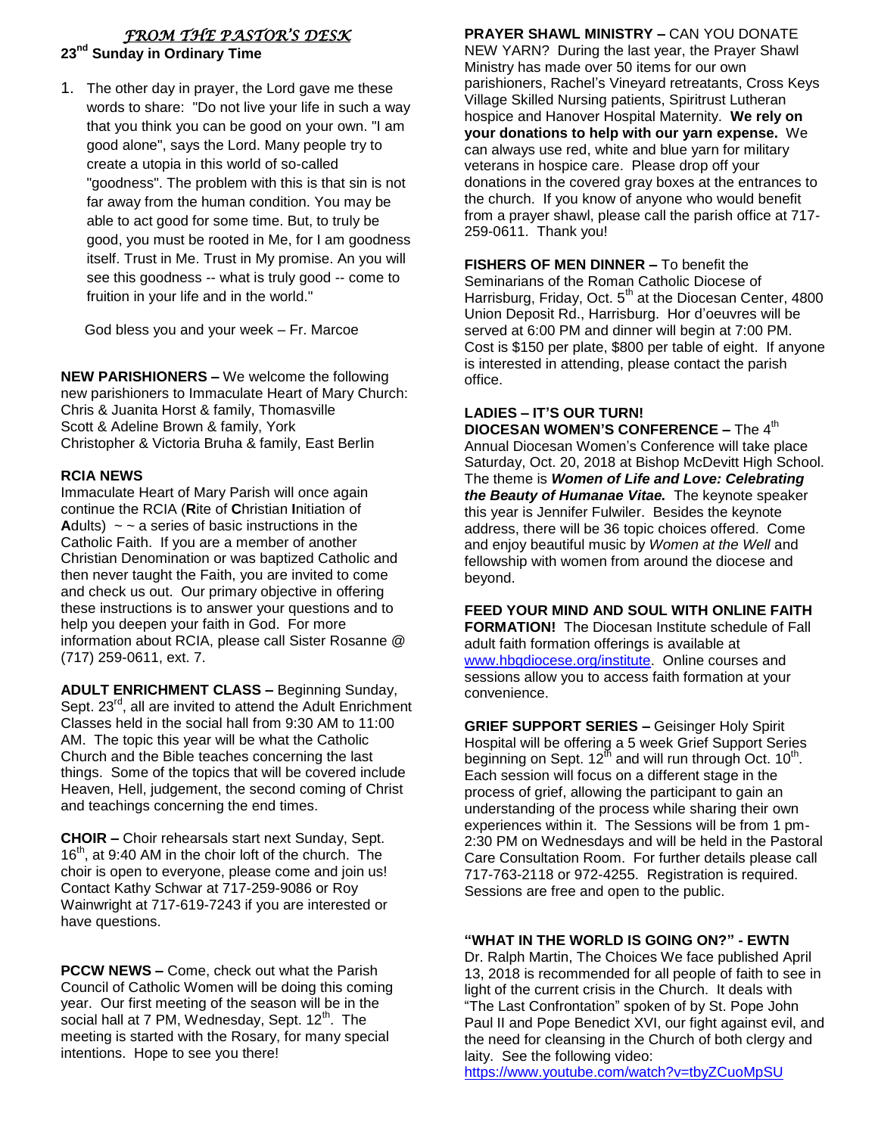# *FROM THE PASTOR'S DESK*  **23nd Sunday in Ordinary Time**

1. The other day in prayer, the Lord gave me these words to share: "Do not live your life in such a way that you think you can be good on your own. "I am good alone", says the Lord. Many people try to create a utopia in this world of so-called "goodness". The problem with this is that sin is not far away from the human condition. You may be able to act good for some time. But, to truly be good, you must be rooted in Me, for I am goodness itself. Trust in Me. Trust in My promise. An you will see this goodness -- what is truly good -- come to fruition in your life and in the world."

God bless you and your week – Fr. Marcoe

**NEW PARISHIONERS –** We welcome the following new parishioners to Immaculate Heart of Mary Church: Chris & Juanita Horst & family, Thomasville Scott & Adeline Brown & family, York Christopher & Victoria Bruha & family, East Berlin

## **RCIA NEWS**

Immaculate Heart of Mary Parish will once again continue the RCIA (**R**ite of **C**hristian **I**nitiation of **Adults)**  $\sim \infty$  a series of basic instructions in the Catholic Faith. If you are a member of another Christian Denomination or was baptized Catholic and then never taught the Faith, you are invited to come and check us out. Our primary objective in offering these instructions is to answer your questions and to help you deepen your faith in God. For more information about RCIA, please call Sister Rosanne @ (717) 259-0611, ext. 7.

**ADULT ENRICHMENT CLASS –** Beginning Sunday, Sept. 23<sup>rd</sup>, all are invited to attend the Adult Enrichment Classes held in the social hall from 9:30 AM to 11:00 AM. The topic this year will be what the Catholic Church and the Bible teaches concerning the last things. Some of the topics that will be covered include Heaven, Hell, judgement, the second coming of Christ and teachings concerning the end times.

**CHOIR –** Choir rehearsals start next Sunday, Sept.  $16<sup>th</sup>$ , at 9:40 AM in the choir loft of the church. The choir is open to everyone, please come and join us! Contact Kathy Schwar at 717-259-9086 or Roy Wainwright at 717-619-7243 if you are interested or have questions.

**PCCW NEWS –** Come, check out what the Parish Council of Catholic Women will be doing this coming year. Our first meeting of the season will be in the social hall at  $7 \text{ PM}$ , Wednesday, Sept.  $12^{\text{th}}$ . The meeting is started with the Rosary, for many special intentions. Hope to see you there!

**PRAYER SHAWL MINISTRY –** CAN YOU DONATE

NEW YARN? During the last year, the Prayer Shawl Ministry has made over 50 items for our own parishioners, Rachel's Vineyard retreatants, Cross Keys Village Skilled Nursing patients, Spiritrust Lutheran hospice and Hanover Hospital Maternity. **We rely on your donations to help with our yarn expense.** We can always use red, white and blue yarn for military veterans in hospice care. Please drop off your donations in the covered gray boxes at the entrances to the church. If you know of anyone who would benefit from a prayer shawl, please call the parish office at 717- 259-0611. Thank you!

**FISHERS OF MEN DINNER –** To benefit the Seminarians of the Roman Catholic Diocese of Harrisburg, Friday, Oct. 5<sup>th</sup> at the Diocesan Center, 4800 Union Deposit Rd., Harrisburg. Hor d'oeuvres will be served at 6:00 PM and dinner will begin at 7:00 PM. Cost is \$150 per plate, \$800 per table of eight. If anyone is interested in attending, please contact the parish office.

#### **LADIES – IT'S OUR TURN! DIOCESAN WOMEN'S CONFERENCE – The 4th** Annual Diocesan Women's Conference will take place Saturday, Oct. 20, 2018 at Bishop McDevitt High School. The theme is *Women of Life and Love: Celebrating the Beauty of Humanae Vitae.* The keynote speaker this year is Jennifer Fulwiler. Besides the keynote address, there will be 36 topic choices offered. Come and enjoy beautiful music by *Women at the Well* and fellowship with women from around the diocese and beyond.

**FEED YOUR MIND AND SOUL WITH ONLINE FAITH FORMATION!** The Diocesan Institute schedule of Fall adult faith formation offerings is available at [www.hbgdiocese.org/institute.](http://www.hbgdiocese.org/institute) Online courses and sessions allow you to access faith formation at your convenience.

**GRIEF SUPPORT SERIES –** Geisinger Holy Spirit Hospital will be offering a 5 week Grief Support Series beginning on Sept. 12<sup>th</sup> and will run through Oct. 10<sup>th</sup>. Each session will focus on a different stage in the process of grief, allowing the participant to gain an understanding of the process while sharing their own experiences within it. The Sessions will be from 1 pm-2:30 PM on Wednesdays and will be held in the Pastoral Care Consultation Room. For further details please call 717-763-2118 or 972-4255. Registration is required. Sessions are free and open to the public.

# **"WHAT IN THE WORLD IS GOING ON?" - EWTN**

Dr. Ralph Martin, The Choices We face published April 13, 2018 is recommended for all people of faith to see in light of the current crisis in the Church. It deals with "The Last Confrontation" spoken of by St. Pope John Paul II and Pope Benedict XVI, our fight against evil, and the need for cleansing in the Church of both clergy and laity. See the following video:

<https://www.youtube.com/watch?v=tbyZCuoMpSU>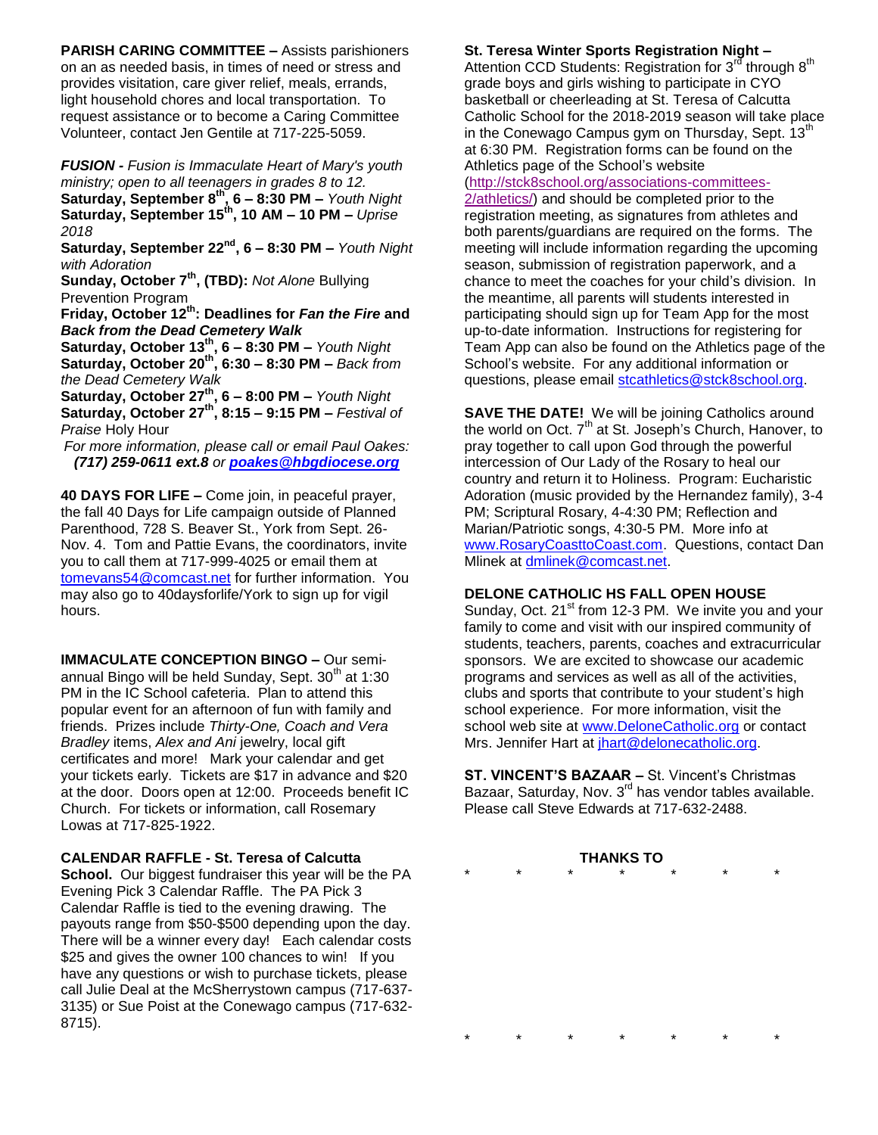**PARISH CARING COMMITTEE –** Assists parishioners on an as needed basis, in times of need or stress and provides visitation, care giver relief, meals, errands, light household chores and local transportation. To request assistance or to become a Caring Committee Volunteer, contact Jen Gentile at 717-225-5059.

*FUSION - Fusion is Immaculate Heart of Mary's youth ministry; open to all teenagers in grades 8 to 12.* **Saturday, September 8th, 6 – 8:30 PM –** *Youth Night* **Saturday, September 15th, 10 AM – 10 PM –** *Uprise 2018*

**Saturday, September 22nd, 6 – 8:30 PM –** *Youth Night with Adoration*

**Sunday, October 7th, (TBD):** *Not Alone* Bullying Prevention Program

**Friday, October 12th: Deadlines for** *Fan the Fire* **and**  *Back from the Dead Cemetery Walk*

**Saturday, October 13th, 6 – 8:30 PM –** *Youth Night* **Saturday, October 20th, 6:30 – 8:30 PM –** *Back from the Dead Cemetery Walk*

**Saturday, October 27th, 6 – 8:00 PM –** *Youth Night* **Saturday, October 27th, 8:15 – 9:15 PM –** *Festival of Praise* Holy Hour

*For more information, please call or email Paul Oakes: (717) 259-0611 ext.8 or [poakes@hbgdiocese.org](mailto:poakes@hbgdiocese.org)*

**40 DAYS FOR LIFE –** Come join, in peaceful prayer, the fall 40 Days for Life campaign outside of Planned Parenthood, 728 S. Beaver St., York from Sept. 26- Nov. 4. Tom and Pattie Evans, the coordinators, invite you to call them at 717-999-4025 or email them at [tomevans54@comcast.net](mailto:tomevans54@comcast.net) for further information. You may also go to 40daysforlife/York to sign up for vigil hours.

**IMMACULATE CONCEPTION BINGO –** Our semiannual Bingo will be held Sunday, Sept.  $30<sup>th</sup>$  at 1:30 PM in the IC School cafeteria. Plan to attend this popular event for an afternoon of fun with family and friends. Prizes include *Thirty-One, Coach and Vera Bradley* items, *Alex and Ani* jewelry, local gift certificates and more! Mark your calendar and get your tickets early. Tickets are \$17 in advance and \$20 at the door. Doors open at 12:00. Proceeds benefit IC Church. For tickets or information, call Rosemary Lowas at 717-825-1922.

**CALENDAR RAFFLE - St. Teresa of Calcutta** 

**School.** Our biggest fundraiser this year will be the PA Evening Pick 3 Calendar Raffle. The PA Pick 3 Calendar Raffle is tied to the evening drawing. The payouts range from \$50-\$500 depending upon the day. There will be a winner every day! Each calendar costs \$25 and gives the owner 100 chances to win! If you have any questions or wish to purchase tickets, please call Julie Deal at the McSherrystown campus (717-637- 3135) or Sue Poist at the Conewago campus (717-632- 8715).

## **St. Teresa Winter Sports Registration Night –**

Attention CCD Students: Registration for  $3^{r\bar{d}}$  through  $8^{th}$ grade boys and girls wishing to participate in CYO basketball or cheerleading at St. Teresa of Calcutta Catholic School for the 2018-2019 season will take place in the Conewago Campus gym on Thursday, Sept.  $13<sup>th</sup>$ at 6:30 PM. Registration forms can be found on the Athletics page of the School's website

[\(http://stck8school.org/associations-committees-](http://stck8school.org/associations-committees-2/athletics/)

[2/athletics/\)](http://stck8school.org/associations-committees-2/athletics/) and should be completed prior to the registration meeting, as signatures from athletes and both parents/guardians are required on the forms. The meeting will include information regarding the upcoming season, submission of registration paperwork, and a chance to meet the coaches for your child's division. In the meantime, all parents will students interested in participating should sign up for Team App for the most up-to-date information. Instructions for registering for Team App can also be found on the Athletics page of the School's website. For any additional information or questions, please email [stcathletics@stck8school.org.](mailto:stcathletics@stck8school.org)

**SAVE THE DATE!** We will be joining Catholics around the world on Oct. 7<sup>th</sup> at St. Joseph's Church, Hanover, to pray together to call upon God through the powerful intercession of Our Lady of the Rosary to heal our country and return it to Holiness. Program: Eucharistic Adoration (music provided by the Hernandez family), 3-4 PM; Scriptural Rosary, 4-4:30 PM; Reflection and Marian/Patriotic songs, 4:30-5 PM. More info at [www.RosaryCoasttoCoast.com.](http://www.rosarycoasttocoast.com/) Questions, contact Dan Mlinek at [dmlinek@comcast.net.](mailto:dmlinek@comcast.net)

## **DELONE CATHOLIC HS FALL OPEN HOUSE**

Sunday, Oct. 21<sup>st</sup> from 12-3 PM. We invite you and your family to come and visit with our inspired community of students, teachers, parents, coaches and extracurricular sponsors. We are excited to showcase our academic programs and services as well as all of the activities, clubs and sports that contribute to your student's high school experience. For more information, visit the school web site at [www.DeloneCatholic.org](http://www.delonecatholic.org/) or contact Mrs. Jennifer Hart at [jhart@delonecatholic.org.](mailto:jhart@delonecatholic.org)

**ST. VINCENT'S BAZAAR –** St. Vincent's Christmas Bazaar, Saturday, Nov. 3<sup>rd</sup> has vendor tables available. Please call Steve Edwards at 717-632-2488.

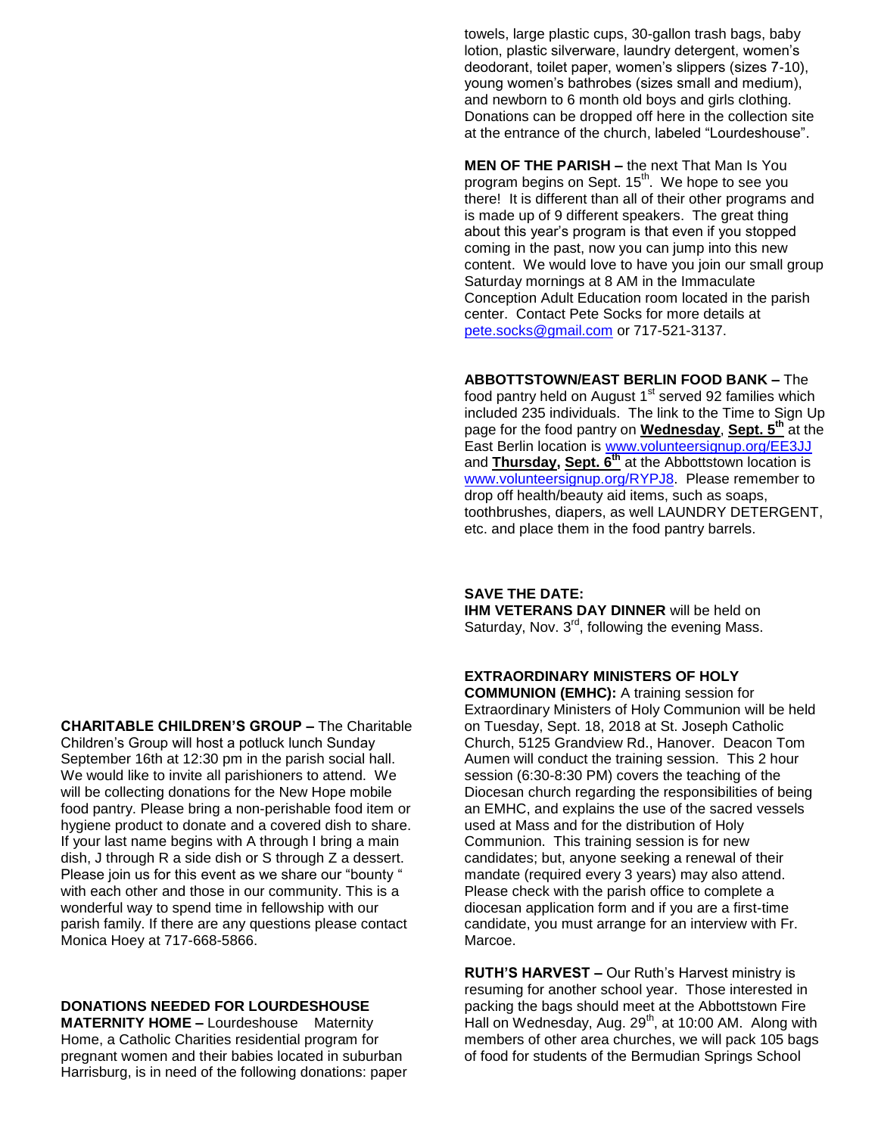towels, large plastic cups, 30-gallon trash bags, baby lotion, plastic silverware, laundry detergent, women's deodorant, toilet paper, women's slippers (sizes 7-10), young women's bathrobes (sizes small and medium), and newborn to 6 month old boys and girls clothing. Donations can be dropped off here in the collection site at the entrance of the church, labeled "Lourdeshouse".

**MEN OF THE PARISH –** the next That Man Is You program begins on Sept. 15<sup>th</sup>. We hope to see you there! It is different than all of their other programs and is made up of 9 different speakers. The great thing about this year's program is that even if you stopped coming in the past, now you can jump into this new content. We would love to have you join our small group Saturday mornings at 8 AM in the Immaculate Conception Adult Education room located in the parish center. Contact Pete Socks for more details at [pete.socks@gmail.com](mailto:pete.socks@gmail.com) or 717-521-3137.

**ABBOTTSTOWN/EAST BERLIN FOOD BANK –** The food pantry held on August 1<sup>st</sup> served 92 families which included 235 individuals. The link to the Time to Sign Up page for the food pantry on **Wednesday**, **Sept. 5th** at the East Berlin location is [www.volunteersignup.org/EE3JJ](http://www.volunteersignup.org/EE3JJ) and **Thursday, Sept. 6th** at the Abbottstown location is [www.volunteersignup.org/RYPJ8.](http://www.volunteersignup.org/RYPJ8) Please remember to drop off health/beauty aid items, such as soaps, toothbrushes, diapers, as well LAUNDRY DETERGENT, etc. and place them in the food pantry barrels.

## **SAVE THE DATE:**

**IHM VETERANS DAY DINNER** will be held on Saturday, Nov.  $3<sup>rd</sup>$ , following the evening Mass.

## **EXTRAORDINARY MINISTERS OF HOLY**

**COMMUNION (EMHC):** A training session for Extraordinary Ministers of Holy Communion will be held on Tuesday, Sept. 18, 2018 at St. Joseph Catholic Church, 5125 Grandview Rd., Hanover. Deacon Tom Aumen will conduct the training session. This 2 hour session (6:30-8:30 PM) covers the teaching of the Diocesan church regarding the responsibilities of being an EMHC, and explains the use of the sacred vessels used at Mass and for the distribution of Holy Communion. This training session is for new candidates; but, anyone seeking a renewal of their mandate (required every 3 years) may also attend. Please check with the parish office to complete a diocesan application form and if you are a first-time candidate, you must arrange for an interview with Fr. Marcoe.

**RUTH'S HARVEST –** Our Ruth's Harvest ministry is resuming for another school year. Those interested in packing the bags should meet at the Abbottstown Fire Hall on Wednesday, Aug.  $29<sup>th</sup>$ , at 10:00 AM. Along with members of other area churches, we will pack 105 bags of food for students of the Bermudian Springs School

**CHARITABLE CHILDREN'S GROUP –** The Charitable

Children's Group will host a potluck lunch Sunday September 16th at 12:30 pm in the parish social hall. We would like to invite all parishioners to attend. We will be collecting donations for the New Hope mobile food pantry. Please bring a non-perishable food item or hygiene product to donate and a covered dish to share. If your last name begins with A through I bring a main dish, J through R a side dish or S through Z a dessert. Please join us for this event as we share our "bounty " with each other and those in our community. This is a wonderful way to spend time in fellowship with our parish family. If there are any questions please contact Monica Hoey at 717-668-5866.

## **DONATIONS NEEDED FOR LOURDESHOUSE**

**MATERNITY HOME –** Lourdeshouse Maternity Home, a Catholic Charities residential program for pregnant women and their babies located in suburban Harrisburg, is in need of the following donations: paper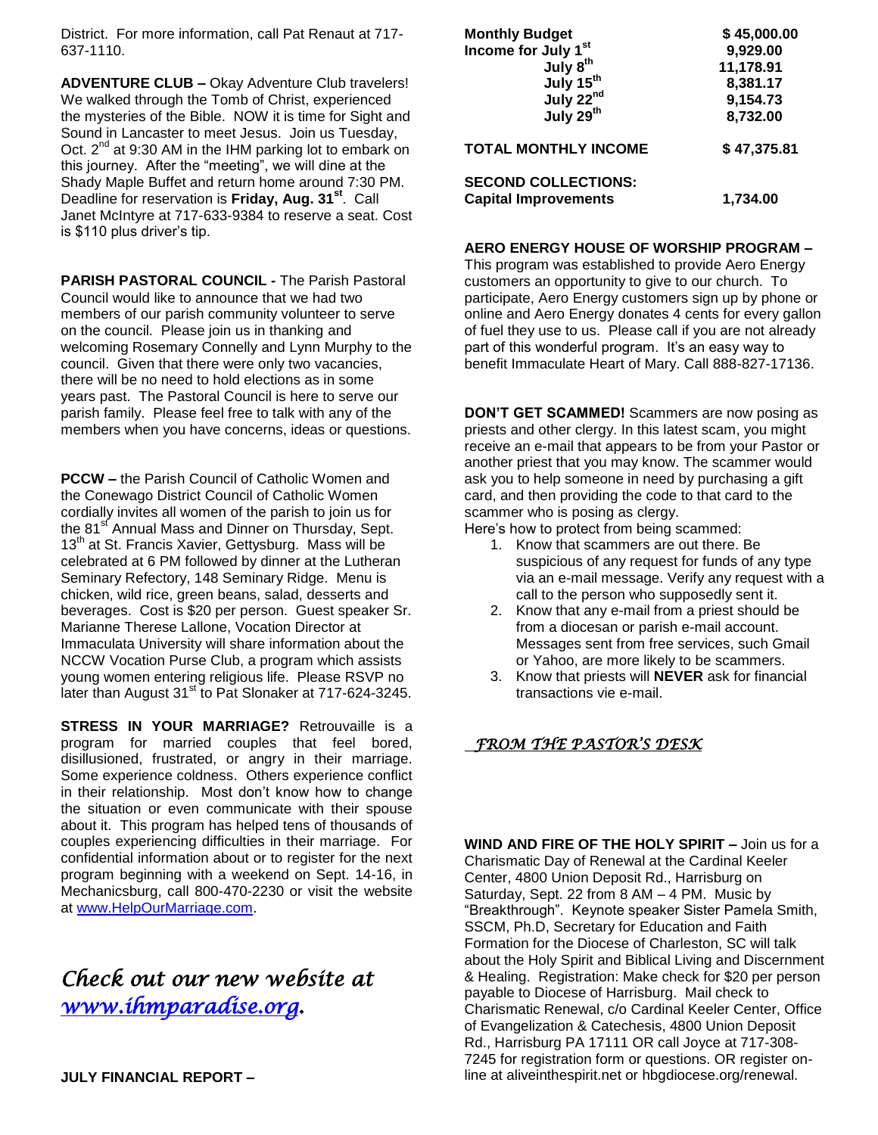District. For more information, call Pat Renaut at 717- 637-1110.

**ADVENTURE CLUB –** Okay Adventure Club travelers! We walked through the Tomb of Christ, experienced the mysteries of the Bible. NOW it is time for Sight and Sound in Lancaster to meet Jesus. Join us Tuesday, Oct.  $2^{nd}$  at 9:30 AM in the IHM parking lot to embark on this journey. After the "meeting", we will dine at the Shady Maple Buffet and return home around 7:30 PM. Deadline for reservation is **Friday, Aug. 31st**. Call Janet McIntyre at 717-633-9384 to reserve a seat. Cost is \$110 plus driver's tip.

**PARISH PASTORAL COUNCIL -** The Parish Pastoral Council would like to announce that we had two members of our parish community volunteer to serve on the council. Please join us in thanking and welcoming Rosemary Connelly and Lynn Murphy to the council. Given that there were only two vacancies, there will be no need to hold elections as in some years past. The Pastoral Council is here to serve our parish family. Please feel free to talk with any of the members when you have concerns, ideas or questions.

**PCCW –** the Parish Council of Catholic Women and the Conewago District Council of Catholic Women cordially invites all women of the parish to join us for the 81<sup>st</sup> Annual Mass and Dinner on Thursday, Sept. 13<sup>th</sup> at St. Francis Xavier, Gettysburg. Mass will be celebrated at 6 PM followed by dinner at the Lutheran Seminary Refectory, 148 Seminary Ridge. Menu is chicken, wild rice, green beans, salad, desserts and beverages. Cost is \$20 per person. Guest speaker Sr. Marianne Therese Lallone, Vocation Director at Immaculata University will share information about the NCCW Vocation Purse Club, a program which assists young women entering religious life. Please RSVP no later than August 31<sup>st</sup> to Pat Slonaker at 717-624-3245.

**STRESS IN YOUR MARRIAGE?** Retrouvaille is a program for married couples that feel bored, disillusioned, frustrated, or angry in their marriage. Some experience coldness. Others experience conflict in their relationship. Most don't know how to change the situation or even communicate with their spouse about it. This program has helped tens of thousands of couples experiencing difficulties in their marriage. For confidential information about or to register for the next program beginning with a weekend on Sept. 14-16, in Mechanicsburg, call 800-470-2230 or visit the website at [www.HelpOurMarriage.com.](http://www.helpourmarriage.com/)

# *Check out our new website at [www.ihmparadise.org.](http://www.ihmparadise.org/)*

| <b>Monthly Budget</b>                          | \$45,000.00 |
|------------------------------------------------|-------------|
| Income for July 1 <sup>st</sup>                | 9,929.00    |
| July 8 <sup>th</sup>                           | 11,178.91   |
| July 15 <sup>th</sup>                          | 8,381.17    |
|                                                | 9,154.73    |
| July 22 <sup>nd</sup><br>July 29 <sup>th</sup> | 8,732.00    |
| <b>TOTAL MONTHLY INCOME</b>                    | \$47,375.81 |
| <b>SECOND COLLECTIONS:</b>                     |             |
| <b>Capital Improvements</b>                    | 1,734.00    |

#### **AERO ENERGY HOUSE OF WORSHIP PROGRAM –**

This program was established to provide Aero Energy customers an opportunity to give to our church. To participate, Aero Energy customers sign up by phone or online and Aero Energy donates 4 cents for every gallon of fuel they use to us. Please call if you are not already part of this wonderful program. It's an easy way to benefit Immaculate Heart of Mary. Call 888-827-17136.

**DON'T GET SCAMMED!** Scammers are now posing as priests and other clergy. In this latest scam, you might receive an e-mail that appears to be from your Pastor or another priest that you may know. The scammer would ask you to help someone in need by purchasing a gift card, and then providing the code to that card to the scammer who is posing as clergy.

Here's how to protect from being scammed:

- 1. Know that scammers are out there. Be suspicious of any request for funds of any type via an e-mail message. Verify any request with a call to the person who supposedly sent it.
- 2. Know that any e-mail from a priest should be from a diocesan or parish e-mail account. Messages sent from free services, such Gmail or Yahoo, are more likely to be scammers.
- 3. Know that priests will **NEVER** ask for financial transactions vie e-mail.

# *FROM THE PASTOR'S DESK*

**WIND AND FIRE OF THE HOLY SPIRIT –** Join us for a Charismatic Day of Renewal at the Cardinal Keeler Center, 4800 Union Deposit Rd., Harrisburg on Saturday, Sept. 22 from 8 AM – 4 PM. Music by "Breakthrough". Keynote speaker Sister Pamela Smith, SSCM, Ph.D, Secretary for Education and Faith Formation for the Diocese of Charleston, SC will talk about the Holy Spirit and Biblical Living and Discernment & Healing. Registration: Make check for \$20 per person payable to Diocese of Harrisburg. Mail check to Charismatic Renewal, c/o Cardinal Keeler Center, Office of Evangelization & Catechesis, 4800 Union Deposit Rd., Harrisburg PA 17111 OR call Joyce at 717-308- 7245 for registration form or questions. OR register online at aliveinthespirit.net or hbgdiocese.org/renewal.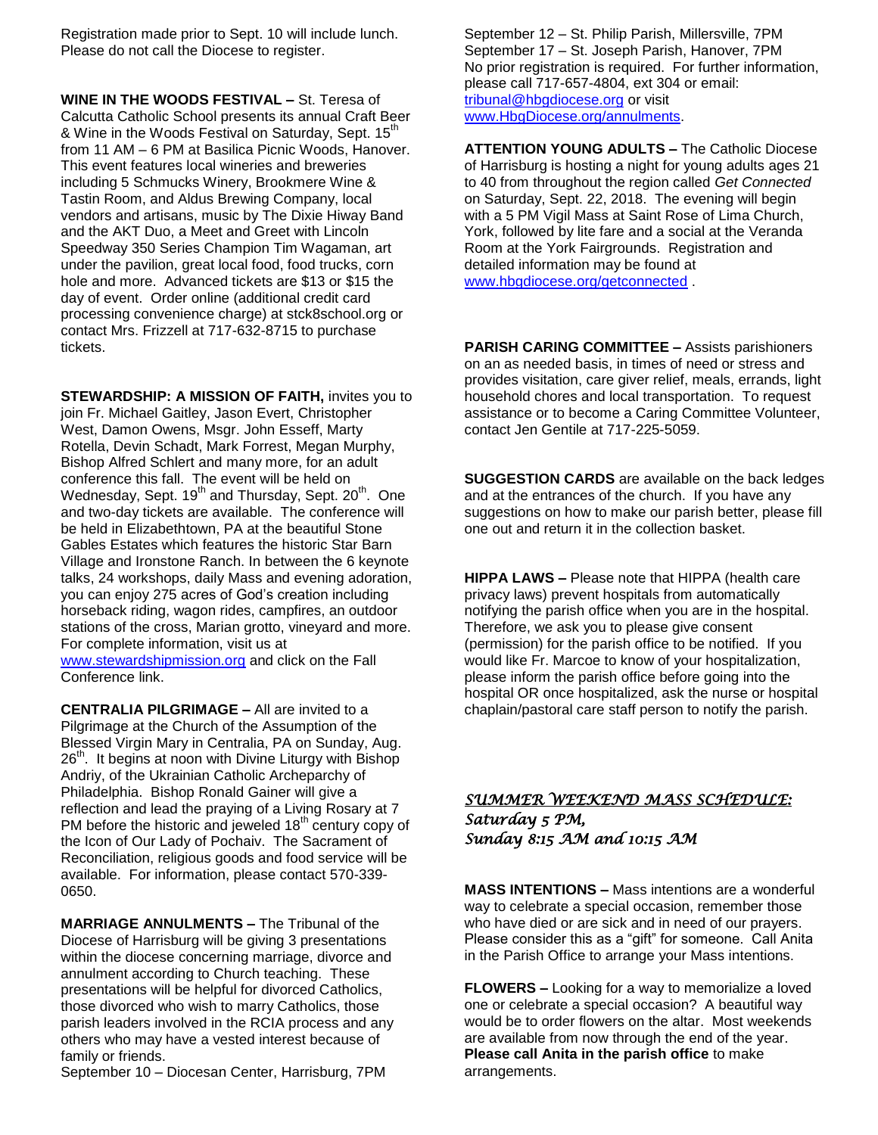Registration made prior to Sept. 10 will include lunch. Please do not call the Diocese to register.

**WINE IN THE WOODS FESTIVAL –** St. Teresa of Calcutta Catholic School presents its annual Craft Beer & Wine in the Woods Festival on Saturday, Sept. 15<sup>th</sup> from 11 AM – 6 PM at Basilica Picnic Woods, Hanover. This event features local wineries and breweries including 5 Schmucks Winery, Brookmere Wine & Tastin Room, and Aldus Brewing Company, local vendors and artisans, music by The Dixie Hiway Band and the AKT Duo, a Meet and Greet with Lincoln Speedway 350 Series Champion Tim Wagaman, art under the pavilion, great local food, food trucks, corn hole and more. Advanced tickets are \$13 or \$15 the day of event. Order online (additional credit card processing convenience charge) at stck8school.org or contact Mrs. Frizzell at 717-632-8715 to purchase tickets.

**STEWARDSHIP: A MISSION OF FAITH,** invites you to join Fr. Michael Gaitley, Jason Evert, Christopher West, Damon Owens, Msgr. John Esseff, Marty Rotella, Devin Schadt, Mark Forrest, Megan Murphy, Bishop Alfred Schlert and many more, for an adult conference this fall. The event will be held on Wednesday, Sept. 19<sup>th</sup> and Thursday, Sept. 20<sup>th</sup>. One and two-day tickets are available. The conference will be held in Elizabethtown, PA at the beautiful Stone Gables Estates which features the historic Star Barn Village and Ironstone Ranch. In between the 6 keynote talks, 24 workshops, daily Mass and evening adoration, you can enjoy 275 acres of God's creation including horseback riding, wagon rides, campfires, an outdoor stations of the cross, Marian grotto, vineyard and more. For complete information, visit us at [www.stewardshipmission.org](http://www.stewardshipmission.org/) and click on the Fall Conference link.

**CENTRALIA PILGRIMAGE –** All are invited to a Pilgrimage at the Church of the Assumption of the Blessed Virgin Mary in Centralia, PA on Sunday, Aug.  $26<sup>th</sup>$ . It begins at noon with Divine Liturgy with Bishop Andriy, of the Ukrainian Catholic Archeparchy of Philadelphia. Bishop Ronald Gainer will give a reflection and lead the praying of a Living Rosary at 7 PM before the historic and jeweled  $18<sup>th</sup>$  century copy of the Icon of Our Lady of Pochaiv. The Sacrament of Reconciliation, religious goods and food service will be available. For information, please contact 570-339- 0650.

**MARRIAGE ANNULMENTS –** The Tribunal of the Diocese of Harrisburg will be giving 3 presentations within the diocese concerning marriage, divorce and annulment according to Church teaching. These presentations will be helpful for divorced Catholics, those divorced who wish to marry Catholics, those parish leaders involved in the RCIA process and any others who may have a vested interest because of family or friends.

September 10 – Diocesan Center, Harrisburg, 7PM

September 12 – St. Philip Parish, Millersville, 7PM September 17 – St. Joseph Parish, Hanover, 7PM No prior registration is required. For further information, please call 717-657-4804, ext 304 or email: [tribunal@hbgdiocese.org](mailto:tribunal@hbgdiocese.org) or visit [www.HbgDiocese.org/annulments.](http://www.hbgdiocese.org/annulments)

**ATTENTION YOUNG ADULTS –** The Catholic Diocese of Harrisburg is hosting a night for young adults ages 21 to 40 from throughout the region called *Get Connected* on Saturday, Sept. 22, 2018. The evening will begin with a 5 PM Vigil Mass at Saint Rose of Lima Church. York, followed by lite fare and a social at the Veranda Room at the York Fairgrounds. Registration and detailed information may be found at [www.hbgdiocese.org/getconnected](http://www.hbgdiocese.org/getconnected) .

**PARISH CARING COMMITTEE –** Assists parishioners on an as needed basis, in times of need or stress and provides visitation, care giver relief, meals, errands, light household chores and local transportation. To request assistance or to become a Caring Committee Volunteer, contact Jen Gentile at 717-225-5059.

**SUGGESTION CARDS** are available on the back ledges and at the entrances of the church. If you have any suggestions on how to make our parish better, please fill one out and return it in the collection basket.

**HIPPA LAWS –** Please note that HIPPA (health care privacy laws) prevent hospitals from automatically notifying the parish office when you are in the hospital. Therefore, we ask you to please give consent (permission) for the parish office to be notified. If you would like Fr. Marcoe to know of your hospitalization, please inform the parish office before going into the hospital OR once hospitalized, ask the nurse or hospital chaplain/pastoral care staff person to notify the parish.

# *SUMMER WEEKEND MASS SCHEDULE: Saturday 5 PM, Sunday 8:15 AM and 10:15 AM*

**MASS INTENTIONS –** Mass intentions are a wonderful way to celebrate a special occasion, remember those who have died or are sick and in need of our prayers. Please consider this as a "gift" for someone. Call Anita in the Parish Office to arrange your Mass intentions.

**FLOWERS –** Looking for a way to memorialize a loved one or celebrate a special occasion? A beautiful way would be to order flowers on the altar. Most weekends are available from now through the end of the year. **Please call Anita in the parish office** to make arrangements.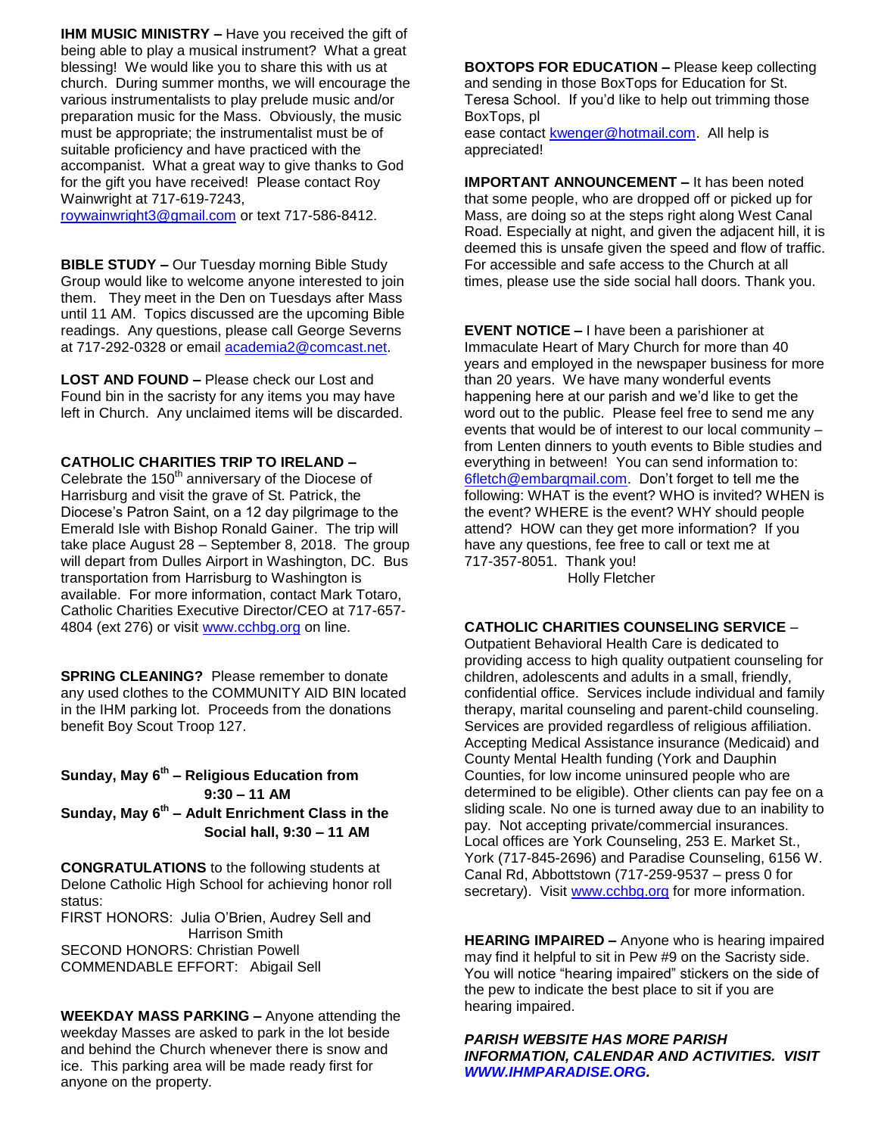**IHM MUSIC MINISTRY –** Have you received the gift of being able to play a musical instrument? What a great blessing! We would like you to share this with us at church. During summer months, we will encourage the various instrumentalists to play prelude music and/or preparation music for the Mass. Obviously, the music must be appropriate; the instrumentalist must be of suitable proficiency and have practiced with the accompanist. What a great way to give thanks to God for the gift you have received! Please contact Roy Wainwright at 717-619-7243,

[roywainwright3@gmail.com](mailto:roywainwright3@gmail.com) or text 717-586-8412.

**BIBLE STUDY –** Our Tuesday morning Bible Study Group would like to welcome anyone interested to join them. They meet in the Den on Tuesdays after Mass until 11 AM. Topics discussed are the upcoming Bible readings. Any questions, please call George Severns at 717-292-0328 or email [academia2@comcast.net.](mailto:academia2@comcast.net)

**LOST AND FOUND –** Please check our Lost and Found bin in the sacristy for any items you may have left in Church. Any unclaimed items will be discarded.

#### **CATHOLIC CHARITIES TRIP TO IRELAND –**

Celebrate the  $150<sup>th</sup>$  anniversary of the Diocese of Harrisburg and visit the grave of St. Patrick, the Diocese's Patron Saint, on a 12 day pilgrimage to the Emerald Isle with Bishop Ronald Gainer. The trip will take place August 28 – September 8, 2018. The group will depart from Dulles Airport in Washington, DC. Bus transportation from Harrisburg to Washington is available. For more information, contact Mark Totaro, Catholic Charities Executive Director/CEO at 717-657- 4804 (ext 276) or visit [www.cchbg.org](http://www.cchbg.org/) on line.

**SPRING CLEANING?** Please remember to donate any used clothes to the COMMUNITY AID BIN located in the IHM parking lot. Proceeds from the donations benefit Boy Scout Troop 127.

**Sunday, May 6th – Religious Education from 9:30 – 11 AM Sunday, May 6th – Adult Enrichment Class in the Social hall, 9:30 – 11 AM**

**CONGRATULATIONS** to the following students at Delone Catholic High School for achieving honor roll status:

FIRST HONORS: Julia O'Brien, Audrey Sell and Harrison Smith SECOND HONORS: Christian Powell COMMENDABLE EFFORT: Abigail Sell

**WEEKDAY MASS PARKING –** Anyone attending the weekday Masses are asked to park in the lot beside and behind the Church whenever there is snow and ice. This parking area will be made ready first for anyone on the property.

**BOXTOPS FOR EDUCATION –** Please keep collecting and sending in those BoxTops for Education for St. Teresa School. If you'd like to help out trimming those BoxTops, pl

ease contact [kwenger@hotmail.com.](mailto:kwenger@hotmail.com) All help is appreciated!

**IMPORTANT ANNOUNCEMENT –** It has been noted that some people, who are dropped off or picked up for Mass, are doing so at the steps right along West Canal Road. Especially at night, and given the adjacent hill, it is deemed this is unsafe given the speed and flow of traffic. For accessible and safe access to the Church at all times, please use the side social hall doors. Thank you.

**EVENT NOTICE –** I have been a parishioner at Immaculate Heart of Mary Church for more than 40 years and employed in the newspaper business for more than 20 years. We have many wonderful events happening here at our parish and we'd like to get the word out to the public. Please feel free to send me any events that would be of interest to our local community – from Lenten dinners to youth events to Bible studies and everything in between! You can send information to: [6fletch@embarqmail.com.](mailto:6fletch@embarqmail.com) Don't forget to tell me the following: WHAT is the event? WHO is invited? WHEN is the event? WHERE is the event? WHY should people attend? HOW can they get more information? If you have any questions, fee free to call or text me at 717-357-8051. Thank you!

Holly Fletcher

#### **CATHOLIC CHARITIES COUNSELING SERVICE** –

Outpatient Behavioral Health Care is dedicated to providing access to high quality outpatient counseling for children, adolescents and adults in a small, friendly, confidential office. Services include individual and family therapy, marital counseling and parent-child counseling. Services are provided regardless of religious affiliation. Accepting Medical Assistance insurance (Medicaid) and County Mental Health funding (York and Dauphin Counties, for low income uninsured people who are determined to be eligible). Other clients can pay fee on a sliding scale. No one is turned away due to an inability to pay. Not accepting private/commercial insurances. Local offices are York Counseling, 253 E. Market St., York (717-845-2696) and Paradise Counseling, 6156 W. Canal Rd, Abbottstown (717-259-9537 – press 0 for secretary). Visit [www.cchbg.org](http://www.cchbg.org/) for more information.

**HEARING IMPAIRED –** Anyone who is hearing impaired may find it helpful to sit in Pew #9 on the Sacristy side. You will notice "hearing impaired" stickers on the side of the pew to indicate the best place to sit if you are hearing impaired.

*PARISH WEBSITE HAS MORE PARISH INFORMATION, CALENDAR AND ACTIVITIES. VISIT [WWW.IHMPARADISE.ORG.](http://www.ihmparadise.org/)*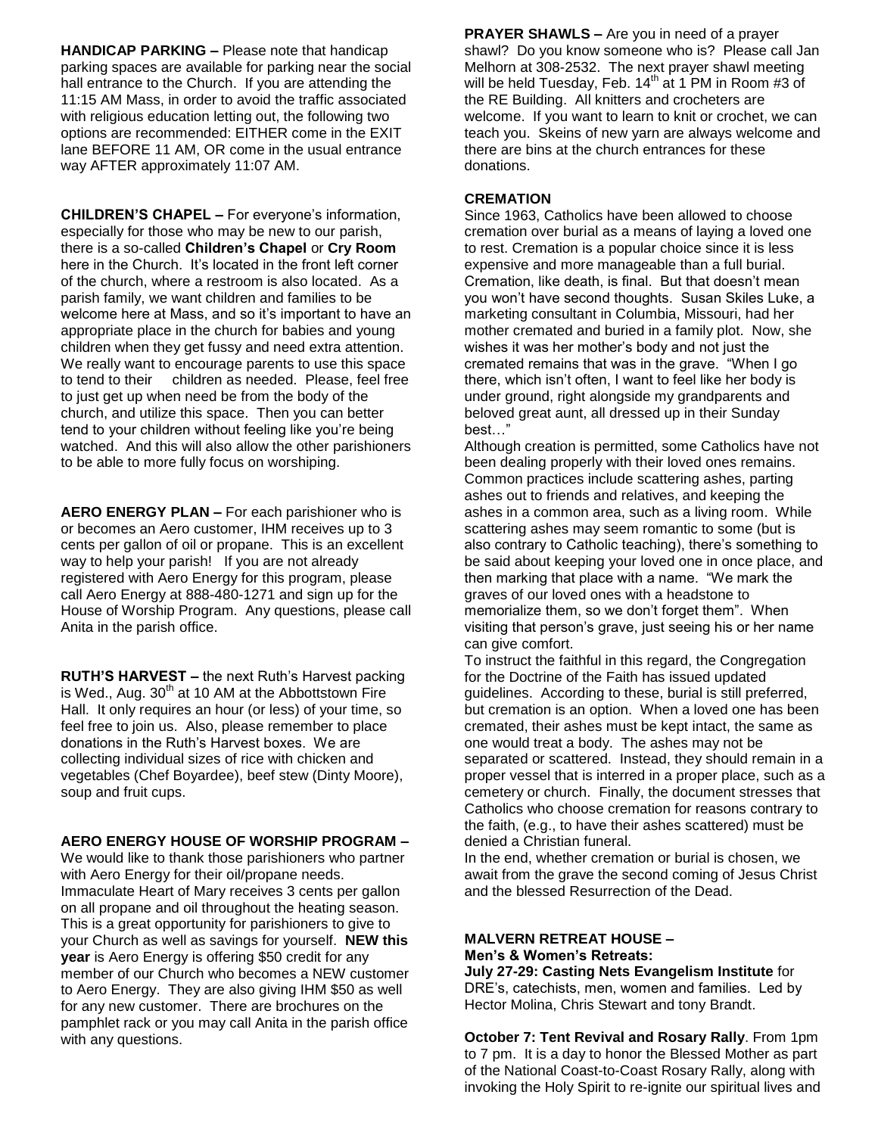**HANDICAP PARKING –** Please note that handicap parking spaces are available for parking near the social hall entrance to the Church. If you are attending the 11:15 AM Mass, in order to avoid the traffic associated with religious education letting out, the following two options are recommended: EITHER come in the EXIT lane BEFORE 11 AM, OR come in the usual entrance way AFTER approximately 11:07 AM.

**CHILDREN'S CHAPEL –** For everyone's information, especially for those who may be new to our parish, there is a so-called **Children's Chapel** or **Cry Room** here in the Church. It's located in the front left corner of the church, where a restroom is also located. As a parish family, we want children and families to be welcome here at Mass, and so it's important to have an appropriate place in the church for babies and young children when they get fussy and need extra attention. We really want to encourage parents to use this space to tend to their children as needed. Please, feel free to just get up when need be from the body of the church, and utilize this space. Then you can better tend to your children without feeling like you're being watched. And this will also allow the other parishioners to be able to more fully focus on worshiping.

**AERO ENERGY PLAN –** For each parishioner who is or becomes an Aero customer, IHM receives up to 3 cents per gallon of oil or propane. This is an excellent way to help your parish! If you are not already registered with Aero Energy for this program, please call Aero Energy at 888-480-1271 and sign up for the House of Worship Program. Any questions, please call Anita in the parish office.

**RUTH'S HARVEST –** the next Ruth's Harvest packing is Wed., Aug.  $30<sup>th</sup>$  at 10 AM at the Abbottstown Fire Hall. It only requires an hour (or less) of your time, so feel free to join us. Also, please remember to place donations in the Ruth's Harvest boxes. We are collecting individual sizes of rice with chicken and vegetables (Chef Boyardee), beef stew (Dinty Moore), soup and fruit cups.

#### **AERO ENERGY HOUSE OF WORSHIP PROGRAM –**

We would like to thank those parishioners who partner with Aero Energy for their oil/propane needs. Immaculate Heart of Mary receives 3 cents per gallon on all propane and oil throughout the heating season. This is a great opportunity for parishioners to give to your Church as well as savings for yourself. **NEW this year** is Aero Energy is offering \$50 credit for any member of our Church who becomes a NEW customer to Aero Energy. They are also giving IHM \$50 as well for any new customer. There are brochures on the pamphlet rack or you may call Anita in the parish office with any questions.

**PRAYER SHAWLS –** Are you in need of a prayer shawl? Do you know someone who is? Please call Jan Melhorn at 308-2532. The next prayer shawl meeting will be held Tuesday, Feb.  $14<sup>th</sup>$  at 1 PM in Room #3 of the RE Building. All knitters and crocheters are welcome. If you want to learn to knit or crochet, we can teach you. Skeins of new yarn are always welcome and there are bins at the church entrances for these donations.

## **CREMATION**

Since 1963, Catholics have been allowed to choose cremation over burial as a means of laying a loved one to rest. Cremation is a popular choice since it is less expensive and more manageable than a full burial. Cremation, like death, is final. But that doesn't mean you won't have second thoughts. Susan Skiles Luke, a marketing consultant in Columbia, Missouri, had her mother cremated and buried in a family plot. Now, she wishes it was her mother's body and not just the cremated remains that was in the grave. "When I go there, which isn't often, I want to feel like her body is under ground, right alongside my grandparents and beloved great aunt, all dressed up in their Sunday best…"

Although creation is permitted, some Catholics have not been dealing properly with their loved ones remains. Common practices include scattering ashes, parting ashes out to friends and relatives, and keeping the ashes in a common area, such as a living room. While scattering ashes may seem romantic to some (but is also contrary to Catholic teaching), there's something to be said about keeping your loved one in once place, and then marking that place with a name. "We mark the graves of our loved ones with a headstone to memorialize them, so we don't forget them". When visiting that person's grave, just seeing his or her name can give comfort.

To instruct the faithful in this regard, the Congregation for the Doctrine of the Faith has issued updated guidelines. According to these, burial is still preferred, but cremation is an option. When a loved one has been cremated, their ashes must be kept intact, the same as one would treat a body. The ashes may not be separated or scattered. Instead, they should remain in a proper vessel that is interred in a proper place, such as a cemetery or church. Finally, the document stresses that Catholics who choose cremation for reasons contrary to the faith, (e.g., to have their ashes scattered) must be denied a Christian funeral.

In the end, whether cremation or burial is chosen, we await from the grave the second coming of Jesus Christ and the blessed Resurrection of the Dead.

#### **MALVERN RETREAT HOUSE – Men's & Women's Retreats:**

**July 27-29: Casting Nets Evangelism Institute** for DRE's, catechists, men, women and families. Led by Hector Molina, Chris Stewart and tony Brandt.

**October 7: Tent Revival and Rosary Rally**. From 1pm to 7 pm. It is a day to honor the Blessed Mother as part of the National Coast-to-Coast Rosary Rally, along with invoking the Holy Spirit to re-ignite our spiritual lives and